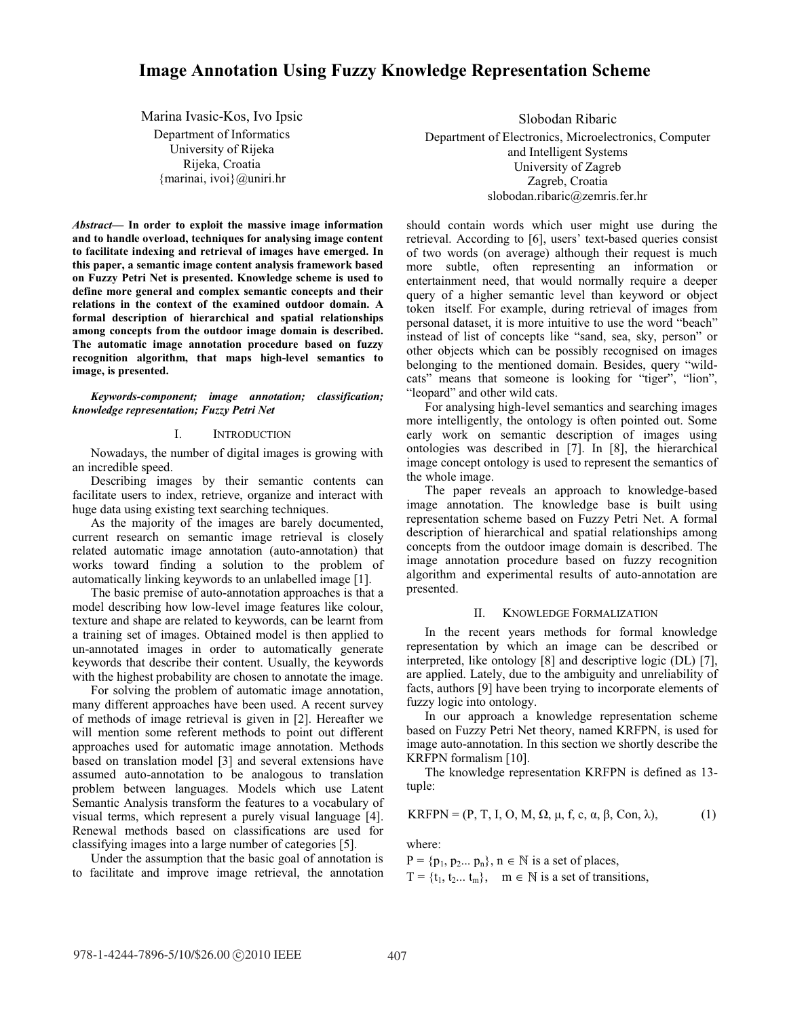# **Image Annotation Using Fuzzy Knowledge Representation Scheme**

Marina Ivasic-Kos, Ivo Ipsic Department of Informatics University of Rijeka Rijeka, Croatia {marinai, ivoi}@uniri.hr

Abstract- In order to exploit the massive image information **and to handle overload, techniques for analysing image content to facilitate indexing and retrieval of images have emerged. In this paper, a semantic image content analysis framework based on Fuzzy Petri Net is presented. Knowledge scheme is used to define more general and complex semantic concepts and their relations in the context of the examined outdoor domain. A formal description of hierarchical and spatial relationships among concepts from the outdoor image domain is described. The automatic image annotation procedure based on fuzzy recognition algorithm, that maps high-level semantics to image, is presented.** 

*Keywords-component; image annotation; classification; knowledge representation; Fuzzy Petri Net* 

## I. INTRODUCTION

Nowadays, the number of digital images is growing with an incredible speed.

Describing images by their semantic contents can facilitate users to index, retrieve, organize and interact with huge data using existing text searching techniques.

As the majority of the images are barely documented, current research on semantic image retrieval is closely related automatic image annotation (auto-annotation) that works toward finding a solution to the problem of automatically linking keywords to an unlabelled image [1].

The basic premise of auto-annotation approaches is that a model describing how low-level image features like colour, texture and shape are related to keywords, can be learnt from a training set of images. Obtained model is then applied to un-annotated images in order to automatically generate keywords that describe their content. Usually, the keywords with the highest probability are chosen to annotate the image.

For solving the problem of automatic image annotation, many different approaches have been used. A recent survey of methods of image retrieval is given in [2]. Hereafter we will mention some referent methods to point out different approaches used for automatic image annotation. Methods based on translation model [3] and several extensions have assumed auto-annotation to be analogous to translation problem between languages. Models which use Latent Semantic Analysis transform the features to a vocabulary of visual terms, which represent a purely visual language [4]. Renewal methods based on classifications are used for classifying images into a large number of categories [5].

Under the assumption that the basic goal of annotation is to facilitate and improve image retrieval, the annotation

Slobodan Ribaric Department of Electronics, Microelectronics, Computer and Intelligent Systems University of Zagreb Zagreb, Croatia slobodan.ribaric@zemris.fer.hr

should contain words which user might use during the retrieval. According to [6], users' text-based queries consist of two words (on average) although their request is much more subtle, often representing an information or entertainment need, that would normally require a deeper query of a higher semantic level than keyword or object token itself. For example, during retrieval of images from personal dataset, it is more intuitive to use the word "beach" instead of list of concepts like "sand, sea, sky, person" or other objects which can be possibly recognised on images belonging to the mentioned domain. Besides, query "wildcats" means that someone is looking for "tiger", "lion", "leopard" and other wild cats.

For analysing high-level semantics and searching images more intelligently, the ontology is often pointed out. Some early work on semantic description of images using ontologies was described in [7]. In [8], the hierarchical image concept ontology is used to represent the semantics of the whole image.

The paper reveals an approach to knowledge-based image annotation. The knowledge base is built using representation scheme based on Fuzzy Petri Net. A formal description of hierarchical and spatial relationships among concepts from the outdoor image domain is described. The image annotation procedure based on fuzzy recognition algorithm and experimental results of auto-annotation are presented.

#### II. KNOWLEDGE FORMALIZATION

In the recent years methods for formal knowledge representation by which an image can be described or interpreted, like ontology [8] and descriptive logic (DL) [7], are applied. Lately, due to the ambiguity and unreliability of facts, authors [9] have been trying to incorporate elements of fuzzy logic into ontology.

In our approach a knowledge representation scheme based on Fuzzy Petri Net theory, named KRFPN, is used for image auto-annotation. In this section we shortly describe the KRFPN formalism [10].

The knowledge representation KRFPN is defined as 13 tuple:

$$
KRFPN = (P, T, I, O, M, \Omega, \mu, f, c, \alpha, \beta, Con, \lambda),
$$
 (1)

where:

 $P = \{p_1, p_2...\, p_n\}, n \in \mathbb{N}$  is a set of places,

 $T = \{t_1, t_2, \ldots, t_m\}, \quad m \in \mathbb{N}$  is a set of transitions,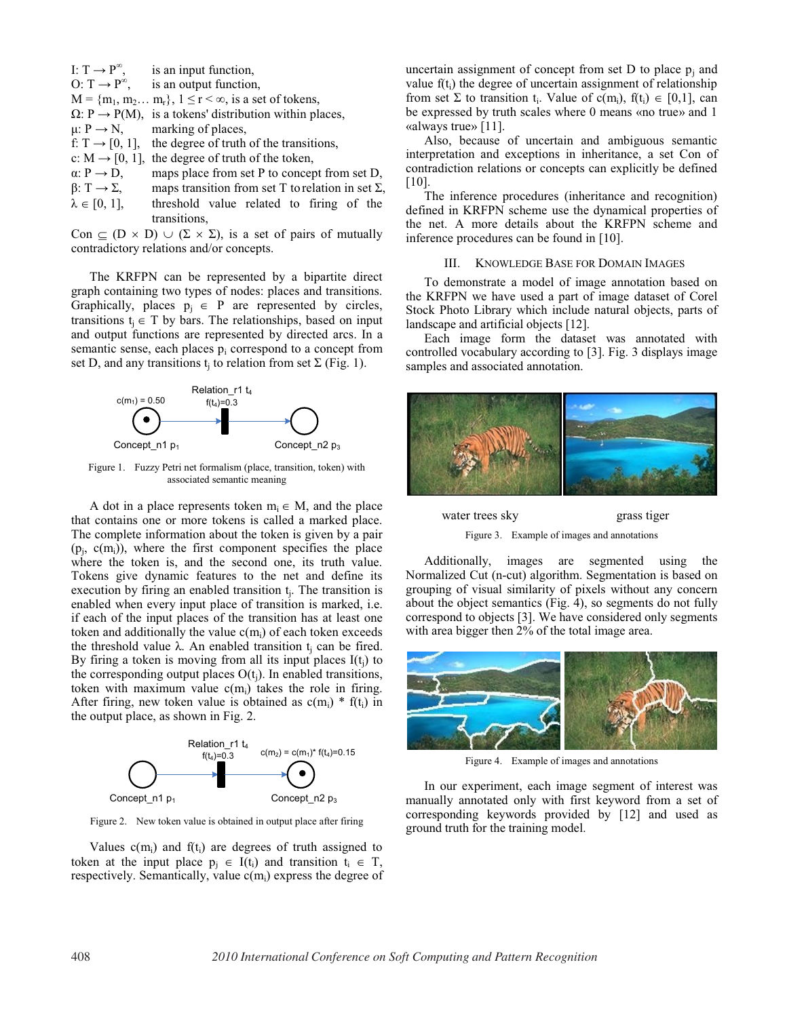|                             | I: $T \rightarrow P^{\infty}$ , is an input function,                     |
|-----------------------------|---------------------------------------------------------------------------|
|                             | O: $T \rightarrow P^{\infty}$ , is an output function,                    |
|                             | $M = \{m_1, m_2 \dots m_r\}, 1 \le r < \infty$ , is a set of tokens,      |
|                             | $\Omega$ : P $\rightarrow$ P(M), is a tokens' distribution within places, |
|                             | $\mu$ : P $\rightarrow$ N, marking of places,                             |
|                             | f: $T \rightarrow [0, 1]$ , the degree of truth of the transitions,       |
|                             | c: $M \rightarrow [0, 1]$ , the degree of truth of the token,             |
| $\alpha: P \rightarrow D$ , | maps place from set P to concept from set D,                              |
| $\beta: T \to \Sigma$ ,     | maps transition from set T to relation in set $\Sigma$ ,                  |
| $\lambda \in [0, 1],$       | threshold value related to firing of the                                  |
|                             | transitions.                                                              |

Con  $\subseteq$  (D x D)  $\cup$  ( $\Sigma \times \Sigma$ ), is a set of pairs of mutually contradictory relations and/or concepts.

The KRFPN can be represented by a bipartite direct graph containing two types of nodes: places and transitions. Graphically, places  $p_i \in P$  are represented by circles, transitions  $t_i \in T$  by bars. The relationships, based on input and output functions are represented by directed arcs. In a semantic sense, each places p<sub>i</sub> correspond to a concept from set D, and any transitions  $t_i$  to relation from set  $\Sigma$  (Fig. 1).



Figure 1. Fuzzy Petri net formalism (place, transition, token) with associated semantic meaning

A dot in a place represents token  $m_i \in M$ , and the place that contains one or more tokens is called a marked place. The complete information about the token is given by a pair  $(p_i, c(m_i))$ , where the first component specifies the place where the token is, and the second one, its truth value. Tokens give dynamic features to the net and define its execution by firing an enabled transition t<sub>i</sub>. The transition is enabled when every input place of transition is marked, i.e. if each of the input places of the transition has at least one token and additionally the value  $c(m_i)$  of each token exceeds the threshold value  $\lambda$ . An enabled transition  $t_i$  can be fired. By firing a token is moving from all its input places  $I(t_i)$  to the corresponding output places  $O(t_i)$ . In enabled transitions, token with maximum value  $c(m_i)$  takes the role in firing. After firing, new token value is obtained as  $c(m_i) * f(t_i)$  in the output place, as shown in Fig. 2.



Figure 2. New token value is obtained in output place after firing

Values  $c(m_i)$  and  $f(t_i)$  are degrees of truth assigned to token at the input place  $p_i \in I(t_i)$  and transition  $t_i \in T$ , respectively. Semantically, value  $c(m_i)$  express the degree of uncertain assignment of concept from set  $D$  to place  $p_i$  and value  $f(t_i)$  the degree of uncertain assignment of relationship from set  $\Sigma$  to transition t<sub>i</sub>. Value of c(m<sub>i</sub>), f(t<sub>i</sub>)  $\in$  [0,1], can be expressed by truth scales where 0 means «no true» and 1 «always true» [11].

Also, because of uncertain and ambiguous semantic interpretation and exceptions in inheritance, a set Con of contradiction relations or concepts can explicitly be defined [10].

The inference procedures (inheritance and recognition) defined in KRFPN scheme use the dynamical properties of the net. A more details about the KRFPN scheme and inference procedures can be found in [10].

### III. KNOWLEDGE BASE FOR DOMAIN IMAGES

To demonstrate a model of image annotation based on the KRFPN we have used a part of image dataset of Corel Stock Photo Library which include natural objects, parts of landscape and artificial objects [12].

Each image form the dataset was annotated with controlled vocabulary according to [3]. Fig. 3 displays image samples and associated annotation.



water trees sky grass tiger Figure 3. Example of images and annotations

Additionally, images are segmented using the Normalized Cut (n-cut) algorithm. Segmentation is based on grouping of visual similarity of pixels without any concern about the object semantics (Fig. 4), so segments do not fully correspond to objects [3]. We have considered only segments with area bigger then 2% of the total image area.



Figure 4. Example of images and annotations

In our experiment, each image segment of interest was manually annotated only with first keyword from a set of corresponding keywords provided by [12] and used as ground truth for the training model.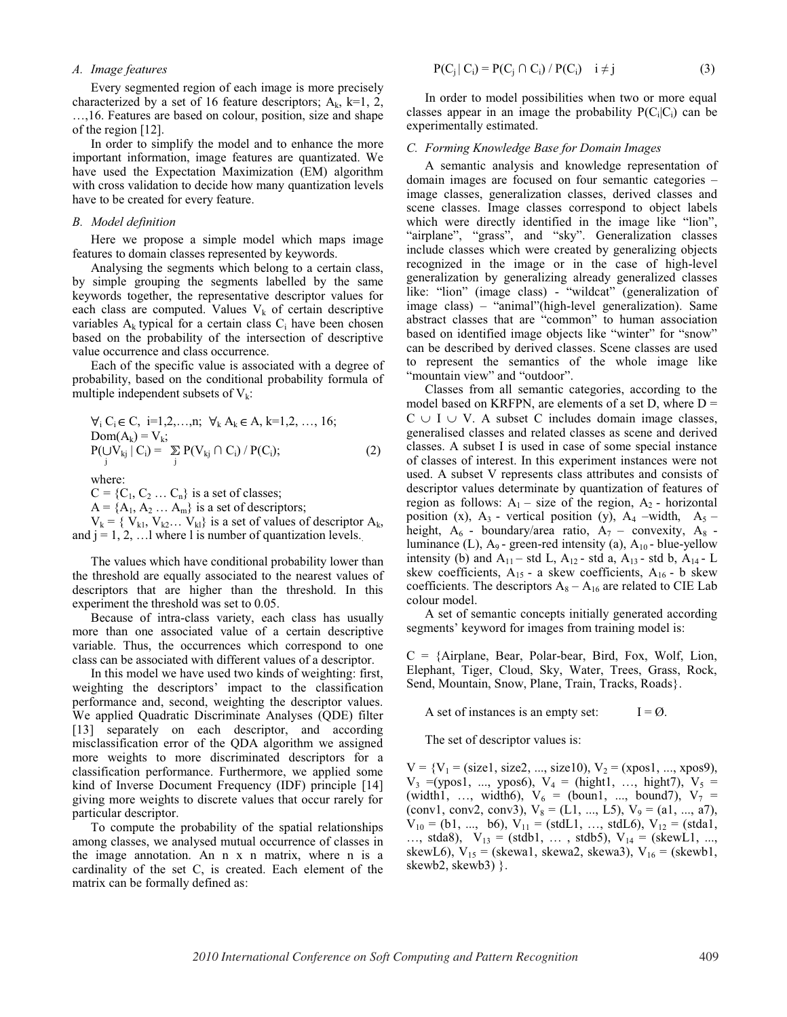*A. Image features* 

Every segmented region of each image is more precisely characterized by a set of 16 feature descriptors;  $A_k$ ,  $k=1, 2,$ ..., 16. Features are based on colour, position, size and shape of the region [12].

In order to simplify the model and to enhance the more important information, image features are quantizated. We have used the Expectation Maximization (EM) algorithm with cross validation to decide how many quantization levels have to be created for every feature.

## *B. Model definition*

Here we propose a simple model which maps image features to domain classes represented by keywords.

Analysing the segments which belong to a certain class, by simple grouping the segments labelled by the same keywords together, the representative descriptor values for each class are computed. Values  $V_k$  of certain descriptive variables  $A_k$  typical for a certain class  $C_i$  have been chosen based on the probability of the intersection of descriptive value occurrence and class occurrence.

Each of the specific value is associated with a degree of probability, based on the conditional probability formula of multiple independent subsets of  $V_k$ :

$$
\forall_{i} C_{i} \in C, i=1,2,...,n; \forall_{k} A_{k} \in A, k=1,2,..., 16; Dom(A_{k}) = V_{k}; P(UV_{kj} | C_{i}) = \sum_{j} P(V_{kj} \cap C_{j}) / P(C_{i});
$$
 (2)

where:

 $C = \{C_1, C_2 \dots C_n\}$  is a set of classes;

 $A = \{A_1, A_2 \dots A_m\}$  is a set of descriptors;

 $V_k = \{ V_{k1}, V_{k2} \dots V_{kl} \}$  is a set of values of descriptor  $A_k$ , and  $j = 1, 2, \ldots$  where 1 is number of quantization levels.

The values which have conditional probability lower than the threshold are equally associated to the nearest values of descriptors that are higher than the threshold. In this experiment the threshold was set to 0.05.

Because of intra-class variety, each class has usually more than one associated value of a certain descriptive variable. Thus, the occurrences which correspond to one class can be associated with different values of a descriptor.

In this model we have used two kinds of weighting: first, weighting the descriptors' impact to the classification performance and, second, weighting the descriptor values. We applied Quadratic Discriminate Analyses (QDE) filter [13] separately on each descriptor, and according misclassification error of the QDA algorithm we assigned more weights to more discriminated descriptors for a classification performance. Furthermore, we applied some kind of Inverse Document Frequency (IDF) principle [14] giving more weights to discrete values that occur rarely for particular descriptor.

To compute the probability of the spatial relationships among classes, we analysed mutual occurrence of classes in the image annotation. An n x n matrix, where n is a cardinality of the set C, is created. Each element of the matrix can be formally defined as:

$$
P(C_j | C_i) = P(C_j \cap C_i) / P(C_i) \quad i \neq j \tag{3}
$$

In order to model possibilities when two or more equal classes appear in an image the probability  $P(C_i|C_i)$  can be experimentally estimated.

#### *C. Forming Knowledge Base for Domain Images*

A semantic analysis and knowledge representation of domain images are focused on four semantic categories  $$ image classes, generalization classes, derived classes and scene classes. Image classes correspond to object labels which were directly identified in the image like "lion", "airplane", "grass", and "sky". Generalization classes include classes which were created by generalizing objects recognized in the image or in the case of high-level generalization by generalizing already generalized classes like: "lion" (image class) - "wildcat" (generalization of image class) – "animal"(high-level generalization). Same abstract classes that are "common" to human association based on identified image objects like "winter" for "snow" can be described by derived classes. Scene classes are used to represent the semantics of the whole image like "mountain view" and "outdoor".

Classes from all semantic categories, according to the model based on KRFPN, are elements of a set D, where  $D =$  $C \cup I \cup V$ . A subset C includes domain image classes, generalised classes and related classes as scene and derived classes. A subset I is used in case of some special instance of classes of interest. In this experiment instances were not used. A subset V represents class attributes and consists of descriptor values determinate by quantization of features of region as follows:  $A_1$  – size of the region,  $A_2$  - horizontal position (x),  $A_3$  - vertical position (y),  $A_4$  -width,  $A_5$  height,  $A_6$  - boundary/area ratio,  $A_7$  - convexity,  $A_8$  luminance (L),  $A_9$ - green-red intensity (a),  $A_{10}$ - blue-yellow intensity (b) and  $A_{11}$  – std L,  $A_{12}$  - std a,  $A_{13}$  - std b,  $A_{14}$  - L skew coefficients,  $A_{15}$  - a skew coefficients,  $A_{16}$  - b skew coefficients. The descriptors  $A_8 - A_{16}$  are related to CIE Lab colour model.

A set of semantic concepts initially generated according segments' keyword for images from training model is:

 $C = \{Airplane, Bear, Polar-bear, Bird, Fox, Wolf, Lion,$ Elephant, Tiger, Cloud, Sky, Water, Trees, Grass, Rock, Send, Mountain, Snow, Plane, Train, Tracks, Roads}.

A set of instances is an empty set:  $I = \emptyset$ .

The set of descriptor values is:

 $V = {V<sub>1</sub> = (size1, size2, ..., size10), V<sub>2</sub> = (xpos1, ..., xpos9),}$  $V_3$  =(ypos1, ..., ypos6),  $V_4$  = (hight1, ..., hight7),  $V_5$  = (width1, ..., width6),  $V_6$  = (boun1, ..., bound7),  $V_7$  = (conv1, conv2, conv3),  $V_8 = (L1, ..., L5), V_9 = (a1, ..., a7),$  $V_{10} = (b1, ..., b6), V_{11} = (stdL1, ..., stdL6), V_{12} = (stda1,$ ..., stda8),  $V_{13} = (stdb1, \ldots, stdb5), V_{14} = (skewL1, \ldots,$ skewL6),  $V_{15}$  = (skewa1, skewa2, skewa3),  $V_{16}$  = (skewb1, skewb2, skewb3) }.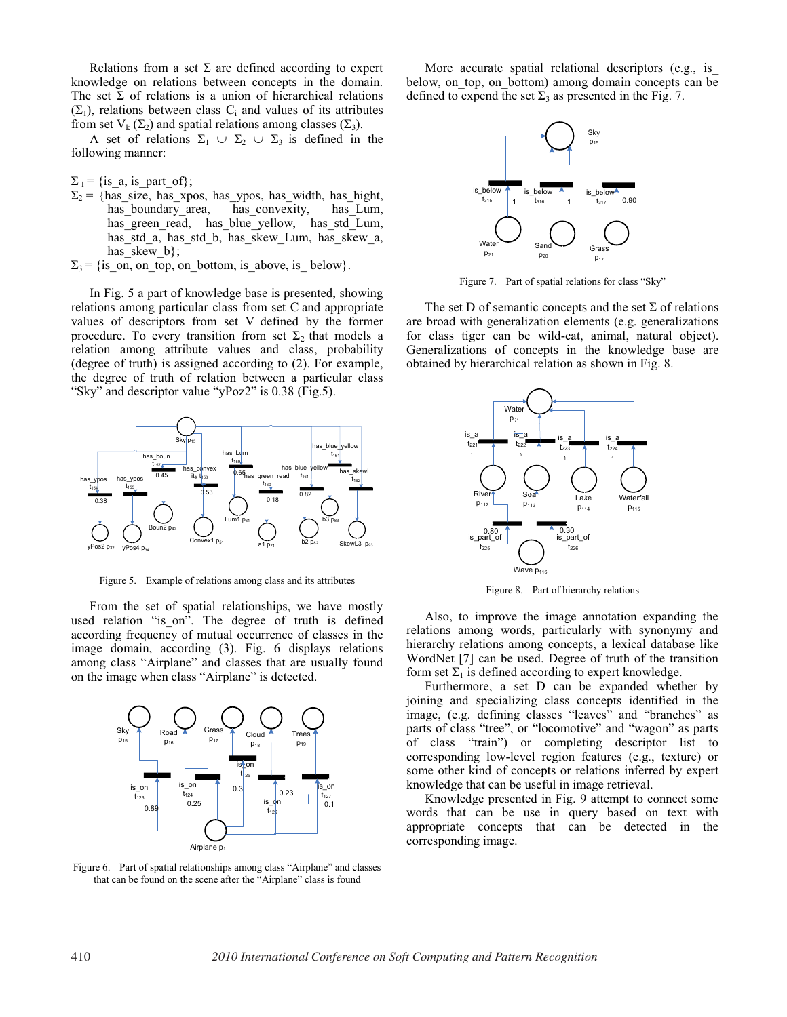Relations from a set  $\Sigma$  are defined according to expert knowledge on relations between concepts in the domain. The set  $\Sigma$  of relations is a union of hierarchical relations  $(\Sigma_1)$ , relations between class C<sub>i</sub> and values of its attributes from set  $V_k(\Sigma_2)$  and spatial relations among classes  $(\Sigma_3)$ .

A set of relations  $\Sigma_1 \cup \Sigma_2 \cup \Sigma_3$  is defined in the following manner:

 $\Sigma_1$  = {is\_a, is\_part\_of};

- $\Sigma_2$  = {has\_size, has\_xpos, has\_ypos, has\_width, has\_hight,<br>has boundary area, has convexity, has Lum, has boundary area, has green read, has\_blue\_yellow, has\_std\_Lum, has\_std\_a, has\_std\_b, has\_skew\_Lum, has\_skew\_a, has skew  $b$ ;
- $\Sigma_3$  = {is\_on, on\_top, on\_bottom, is\_above, is\_ below}.

In Fig. 5 a part of knowledge base is presented, showing relations among particular class from set C and appropriate values of descriptors from set V defined by the former procedure. To every transition from set  $\Sigma_2$  that models a relation among attribute values and class, probability (degree of truth) is assigned according to (2). For example, the degree of truth of relation between a particular class "Sky" and descriptor value "yPoz2" is  $0.38$  (Fig.5).



Figure 5. Example of relations among class and its attributes

From the set of spatial relationships, we have mostly used relation "is\_on". The degree of truth is defined according frequency of mutual occurrence of classes in the image domain, according (3). Fig. 6 displays relations among class "Airplane" and classes that are usually found on the image when class "Airplane" is detected.



Figure 6. Part of spatial relationships among class "Airplane" and classes that can be found on the scene after the "Airplane" class is found

More accurate spatial relational descriptors (e.g., is\_ below, on\_top, on\_bottom) among domain concepts can be defined to expend the set  $\Sigma_3$  as presented in the Fig. 7.



Figure 7. Part of spatial relations for class "Sky"

The set D of semantic concepts and the set  $\Sigma$  of relations are broad with generalization elements (e.g. generalizations for class tiger can be wild-cat, animal, natural object). Generalizations of concepts in the knowledge base are obtained by hierarchical relation as shown in Fig. 8.



Figure 8. Part of hierarchy relations

Also, to improve the image annotation expanding the relations among words, particularly with synonymy and hierarchy relations among concepts, a lexical database like WordNet [7] can be used. Degree of truth of the transition form set  $\Sigma_1$  is defined according to expert knowledge.

Furthermore, a set D can be expanded whether by joining and specializing class concepts identified in the image, (e.g. defining classes "leaves" and "branches" as parts of class "tree", or "locomotive" and "wagon" as parts of class "train") or completing descriptor list to corresponding low-level region features (e.g., texture) or some other kind of concepts or relations inferred by expert knowledge that can be useful in image retrieval.

Knowledge presented in Fig. 9 attempt to connect some words that can be use in query based on text with appropriate concepts that can be detected in the corresponding image.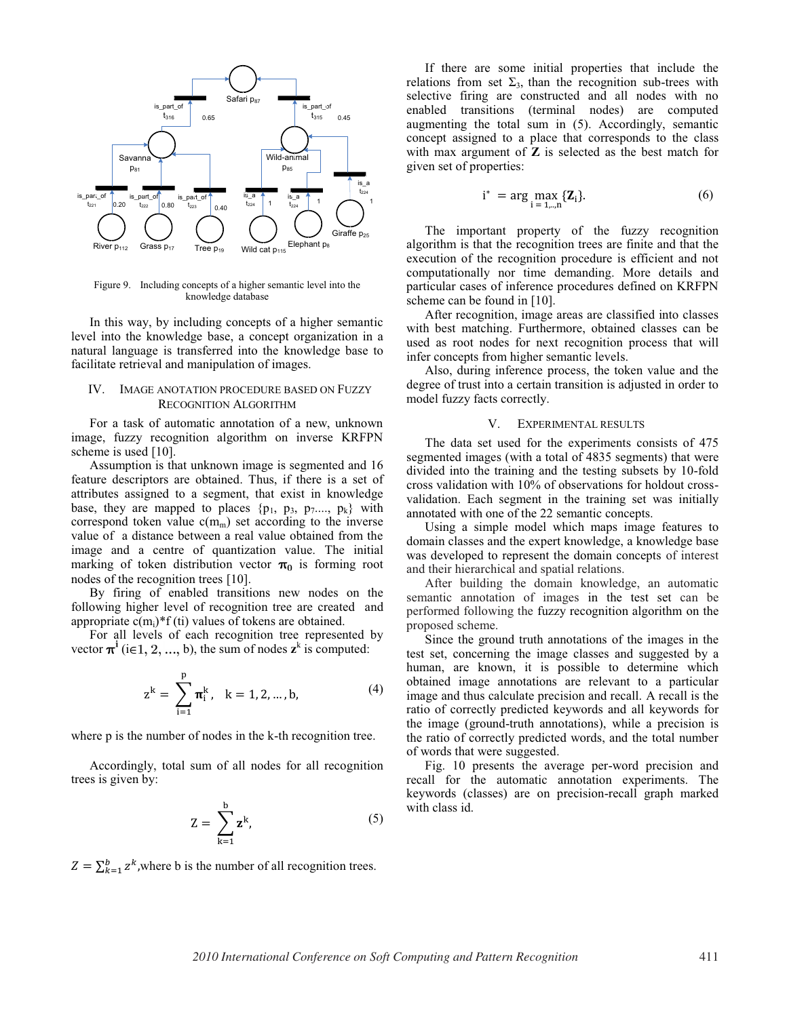

Figure 9. Including concepts of a higher semantic level into the knowledge database

In this way, by including concepts of a higher semantic level into the knowledge base, a concept organization in a natural language is transferred into the knowledge base to facilitate retrieval and manipulation of images.

## IV. IMAGE ANOTATION PROCEDURE BASED ON FUZZY RECOGNITION ALGORITHM

For a task of automatic annotation of a new, unknown image, fuzzy recognition algorithm on inverse KRFPN scheme is used [10].

Assumption is that unknown image is segmented and 16 feature descriptors are obtained. Thus, if there is a set of attributes assigned to a segment, that exist in knowledge base, they are mapped to places  $\{p_1, p_3, p_7,..., p_k\}$  with correspond token value  $c(m_m)$  set according to the inverse value of a distance between a real value obtained from the image and a centre of quantization value. The initial marking of token distribution vector  $\pi_0$  is forming root nodes of the recognition trees [10].

By firing of enabled transitions new nodes on the following higher level of recognition tree are created and appropriate  $c(m_i)^* f (t_i)$  values of tokens are obtained.

For all levels of each recognition tree represented by vector  $\pi^i$  (i $\in$ 1, 2, ..., b), the sum of nodes  $z^k$  is computed:

$$
z^{k} = \sum_{i=1}^{p} \pi_{i}^{k}, \quad k = 1, 2, ..., b,
$$
 (4)

where p is the number of nodes in the k-th recognition tree.

Accordingly, total sum of all nodes for all recognition trees is given by:

$$
Z = \sum_{k=1}^{b} z^{k}, \qquad (5)
$$

 $Z = \sum_{k=1}^{b} z^{k}$ , where b is the number of all recognition trees.

If there are some initial properties that include the relations from set  $\Sigma_3$ , than the recognition sub-trees with selective firing are constructed and all nodes with no enabled transitions (terminal nodes) are computed augmenting the total sum in (5). Accordingly, semantic concept assigned to a place that corresponds to the class with max argument of **Z** is selected as the best match for given set of properties:

$$
i^* = \arg \max_{i=1,\dots,n} \{Z_i\}.
$$
 (6)

The important property of the fuzzy recognition algorithm is that the recognition trees are finite and that the execution of the recognition procedure is efficient and not computationally nor time demanding. More details and particular cases of inference procedures defined on KRFPN scheme can be found in [10].

After recognition, image areas are classified into classes with best matching. Furthermore, obtained classes can be used as root nodes for next recognition process that will infer concepts from higher semantic levels.

Also, during inference process, the token value and the degree of trust into a certain transition is adjusted in order to model fuzzy facts correctly.

## V. EXPERIMENTAL RESULTS

The data set used for the experiments consists of 475 segmented images (with a total of 4835 segments) that were divided into the training and the testing subsets by 10-fold cross validation with 10% of observations for holdout crossvalidation. Each segment in the training set was initially annotated with one of the 22 semantic concepts.

Using a simple model which maps image features to domain classes and the expert knowledge, a knowledge base was developed to represent the domain concepts of interest and their hierarchical and spatial relations.

After building the domain knowledge, an automatic semantic annotation of images in the test set can be performed following the fuzzy recognition algorithm on the proposed scheme.

Since the ground truth annotations of the images in the test set, concerning the image classes and suggested by a human, are known, it is possible to determine which obtained image annotations are relevant to a particular image and thus calculate precision and recall. A recall is the ratio of correctly predicted keywords and all keywords for the image (ground-truth annotations), while a precision is the ratio of correctly predicted words, and the total number of words that were suggested.

Fig. 10 presents the average per-word precision and recall for the automatic annotation experiments. The keywords (classes) are on precision-recall graph marked with class id.